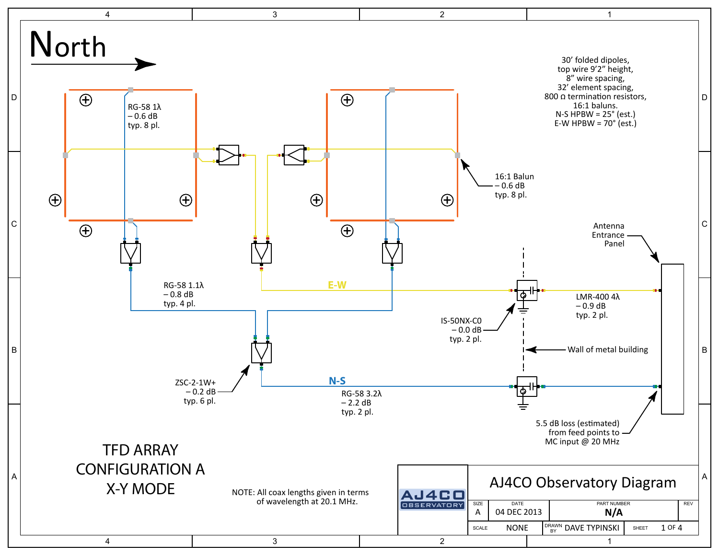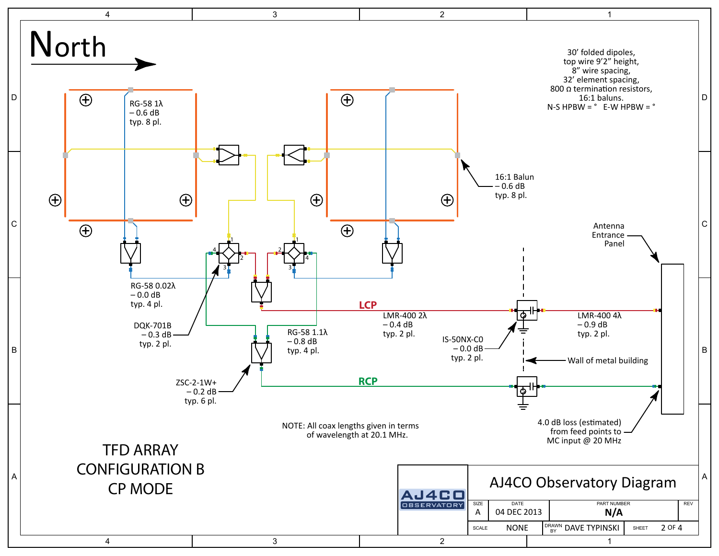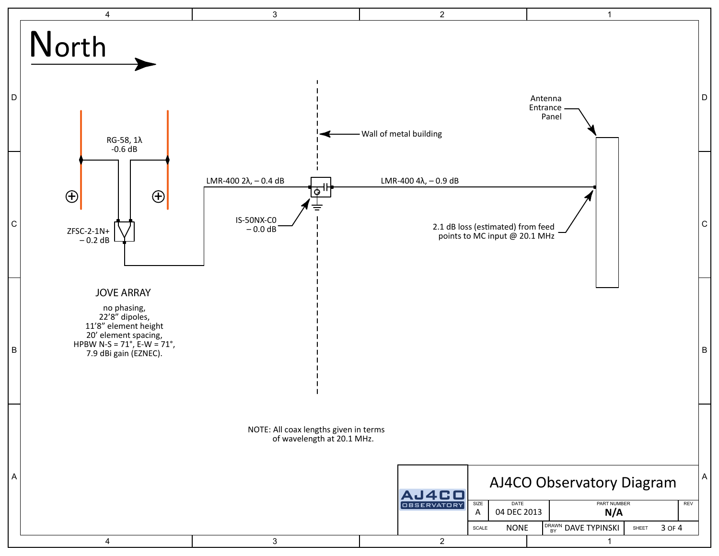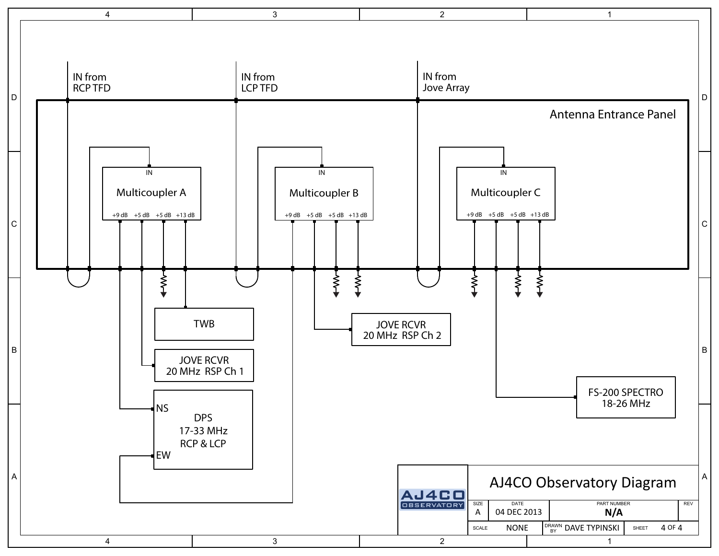